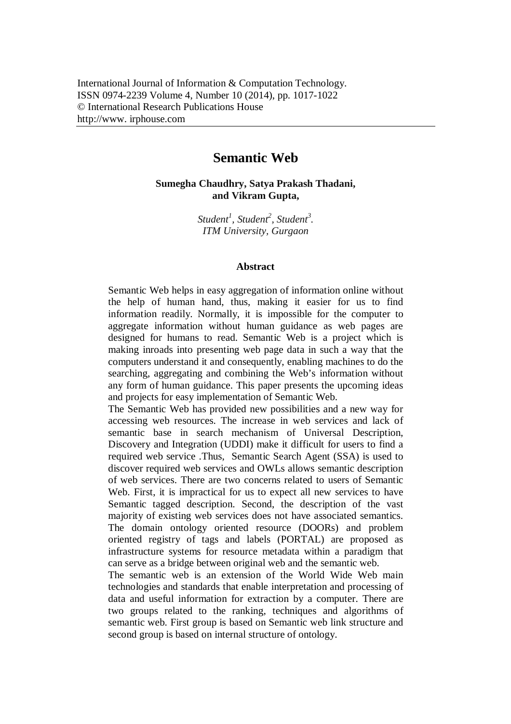# **Semantic Web**

## **Sumegha Chaudhry, Satya Prakash Thadani, and Vikram Gupta,**

*Student<sup>1</sup> , Student<sup>2</sup> , Student<sup>3</sup> . ITM University, Gurgaon*

#### **Abstract**

Semantic Web helps in easy aggregation of information online without the help of human hand, thus, making it easier for us to find information readily. Normally, it is impossible for the computer to aggregate information without human guidance as web pages are designed for humans to read. Semantic Web is a project which is making inroads into presenting web page data in such a way that the computers understand it and consequently, enabling machines to do the searching, aggregating and combining the Web's information without any form of human guidance. This paper presents the upcoming ideas and projects for easy implementation of Semantic Web.

The Semantic Web has provided new possibilities and a new way for accessing web resources. The increase in web services and lack of semantic base in search mechanism of Universal Description, Discovery and Integration (UDDI) make it difficult for users to find a required web service .Thus, Semantic Search Agent (SSA) is used to discover required web services and OWLs allows semantic description of web services. There are two concerns related to users of Semantic Web. First, it is impractical for us to expect all new services to have Semantic tagged description. Second, the description of the vast majority of existing web services does not have associated semantics. The domain ontology oriented resource (DOORs) and problem oriented registry of tags and labels (PORTAL) are proposed as infrastructure systems for resource metadata within a paradigm that can serve as a bridge between original web and the semantic web.

The semantic web is an extension of the World Wide Web main technologies and standards that enable interpretation and processing of data and useful information for extraction by a computer. There are two groups related to the ranking, techniques and algorithms of semantic web. First group is based on Semantic web link structure and second group is based on internal structure of ontology.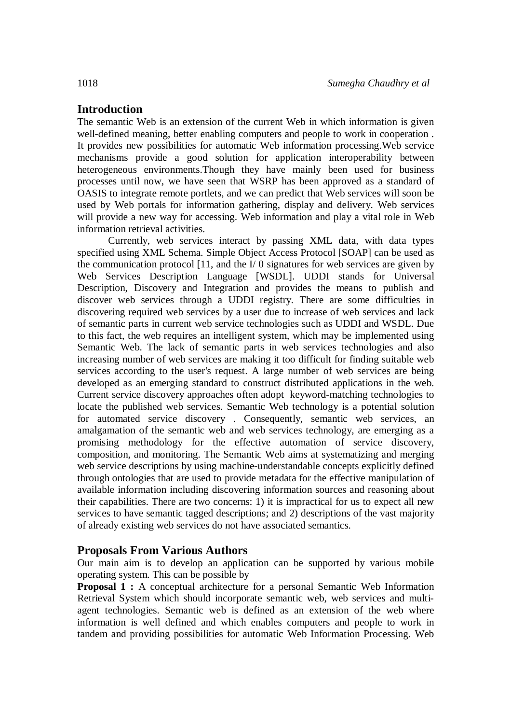# **Introduction**

The semantic Web is an extension of the current Web in which information is given well-defined meaning, better enabling computers and people to work in cooperation . It provides new possibilities for automatic Web information processing.Web service mechanisms provide a good solution for application interoperability between heterogeneous environments.Though they have mainly been used for business processes until now, we have seen that WSRP has been approved as a standard of OASIS to integrate remote portlets, and we can predict that Web services will soon be used by Web portals for information gathering, display and delivery. Web services will provide a new way for accessing. Web information and play a vital role in Web information retrieval activities.

Currently, web services interact by passing XML data, with data types specified using XML Schema. Simple Object Access Protocol [SOAP] can be used as the communication protocol  $[11]$ , and the I/ 0 signatures for web services are given by Web Services Description Language [WSDL]. UDDI stands for Universal Description, Discovery and Integration and provides the means to publish and discover web services through a UDDI registry. There are some difficulties in discovering required web services by a user due to increase of web services and lack of semantic parts in current web service technologies such as UDDI and WSDL. Due to this fact, the web requires an intelligent system, which may be implemented using Semantic Web. The lack of semantic parts in web services technologies and also increasing number of web services are making it too difficult for finding suitable web services according to the user's request. A large number of web services are being developed as an emerging standard to construct distributed applications in the web. Current service discovery approaches often adopt keyword-matching technologies to locate the published web services. Semantic Web technology is a potential solution for automated service discovery . Consequently, semantic web services, an amalgamation of the semantic web and web services technology, are emerging as a promising methodology for the effective automation of service discovery, composition, and monitoring. The Semantic Web aims at systematizing and merging web service descriptions by using machine-understandable concepts explicitly defined through ontologies that are used to provide metadata for the effective manipulation of available information including discovering information sources and reasoning about their capabilities. There are two concerns: 1) it is impractical for us to expect all new services to have semantic tagged descriptions; and 2) descriptions of the vast majority of already existing web services do not have associated semantics.

# **Proposals From Various Authors**

Our main aim is to develop an application can be supported by various mobile operating system. This can be possible by

**Proposal 1 :** A conceptual architecture for a personal Semantic Web Information Retrieval System which should incorporate semantic web, web services and multiagent technologies. Semantic web is defined as an extension of the web where information is well defined and which enables computers and people to work in tandem and providing possibilities for automatic Web Information Processing. Web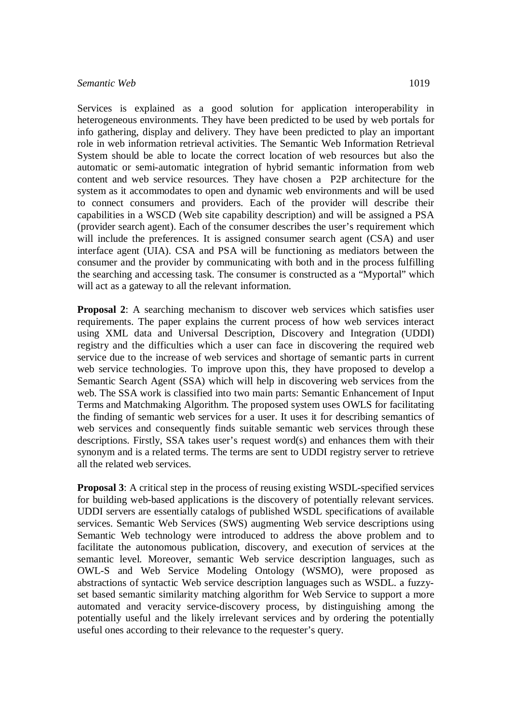### *Semantic Web* 1019

Services is explained as a good solution for application interoperability in heterogeneous environments. They have been predicted to be used by web portals for info gathering, display and delivery. They have been predicted to play an important role in web information retrieval activities. The Semantic Web Information Retrieval System should be able to locate the correct location of web resources but also the automatic or semi-automatic integration of hybrid semantic information from web content and web service resources. They have chosen a P2P architecture for the system as it accommodates to open and dynamic web environments and will be used to connect consumers and providers. Each of the provider will describe their capabilities in a WSCD (Web site capability description) and will be assigned a PSA (provider search agent). Each of the consumer describes the user's requirement which will include the preferences. It is assigned consumer search agent (CSA) and user interface agent (UIA). CSA and PSA will be functioning as mediators between the consumer and the provider by communicating with both and in the process fulfilling the searching and accessing task. The consumer is constructed as a "Myportal" which will act as a gateway to all the relevant information.

**Proposal 2:** A searching mechanism to discover web services which satisfies user requirements. The paper explains the current process of how web services interact using XML data and Universal Description, Discovery and Integration (UDDI) registry and the difficulties which a user can face in discovering the required web service due to the increase of web services and shortage of semantic parts in current web service technologies. To improve upon this, they have proposed to develop a Semantic Search Agent (SSA) which will help in discovering web services from the web. The SSA work is classified into two main parts: Semantic Enhancement of Input Terms and Matchmaking Algorithm. The proposed system uses OWLS for facilitating the finding of semantic web services for a user. It uses it for describing semantics of web services and consequently finds suitable semantic web services through these descriptions. Firstly, SSA takes user's request word(s) and enhances them with their synonym and is a related terms. The terms are sent to UDDI registry server to retrieve all the related web services.

**Proposal 3**: A critical step in the process of reusing existing WSDL-specified services for building web-based applications is the discovery of potentially relevant services. UDDI servers are essentially catalogs of published WSDL specifications of available services. Semantic Web Services (SWS) augmenting Web service descriptions using Semantic Web technology were introduced to address the above problem and to facilitate the autonomous publication, discovery, and execution of services at the semantic level. Moreover, semantic Web service description languages, such as OWL-S and Web Service Modeling Ontology (WSMO), were proposed as abstractions of syntactic Web service description languages such as WSDL. a fuzzyset based semantic similarity matching algorithm for Web Service to support a more automated and veracity service-discovery process, by distinguishing among the potentially useful and the likely irrelevant services and by ordering the potentially useful ones according to their relevance to the requester's query.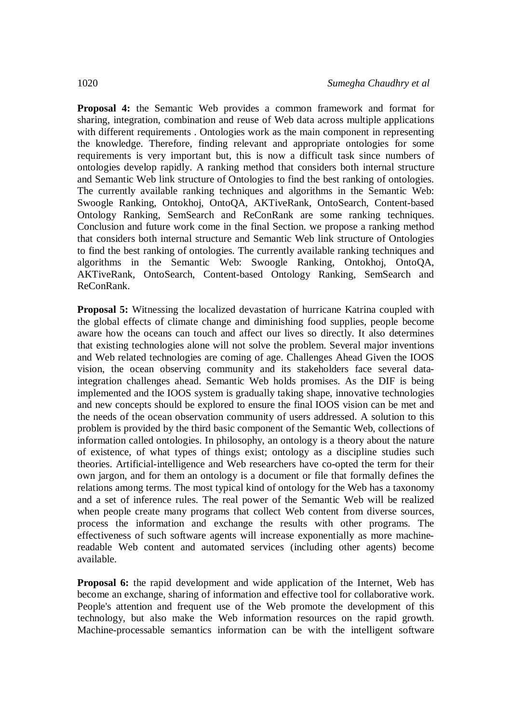**Proposal 4:** the Semantic Web provides a common framework and format for sharing, integration, combination and reuse of Web data across multiple applications with different requirements . Ontologies work as the main component in representing the knowledge. Therefore, finding relevant and appropriate ontologies for some requirements is very important but, this is now a difficult task since numbers of ontologies develop rapidly. A ranking method that considers both internal structure and Semantic Web link structure of Ontologies to find the best ranking of ontologies. The currently available ranking techniques and algorithms in the Semantic Web: Swoogle Ranking, Ontokhoj, OntoQA, AKTiveRank, OntoSearch, Content-based Ontology Ranking, SemSearch and ReConRank are some ranking techniques. Conclusion and future work come in the final Section. we propose a ranking method that considers both internal structure and Semantic Web link structure of Ontologies to find the best ranking of ontologies. The currently available ranking techniques and algorithms in the Semantic Web: Swoogle Ranking, Ontokhoj, OntoQA, AKTiveRank, OntoSearch, Content-based Ontology Ranking, SemSearch and ReConRank.

**Proposal 5:** Witnessing the localized devastation of hurricane Katrina coupled with the global effects of climate change and diminishing food supplies, people become aware how the oceans can touch and affect our lives so directly. It also determines that existing technologies alone will not solve the problem. Several major inventions and Web related technologies are coming of age. Challenges Ahead Given the IOOS vision, the ocean observing community and its stakeholders face several dataintegration challenges ahead. Semantic Web holds promises. As the DIF is being implemented and the IOOS system is gradually taking shape, innovative technologies and new concepts should be explored to ensure the final IOOS vision can be met and the needs of the ocean observation community of users addressed. A solution to this problem is provided by the third basic component of the Semantic Web, collections of information called ontologies. In philosophy, an ontology is a theory about the nature of existence, of what types of things exist; ontology as a discipline studies such theories. Artificial-intelligence and Web researchers have co-opted the term for their own jargon, and for them an ontology is a document or file that formally defines the relations among terms. The most typical kind of ontology for the Web has a taxonomy and a set of inference rules. The real power of the Semantic Web will be realized when people create many programs that collect Web content from diverse sources, process the information and exchange the results with other programs. The effectiveness of such software agents will increase exponentially as more machinereadable Web content and automated services (including other agents) become available.

**Proposal 6:** the rapid development and wide application of the Internet, Web has become an exchange, sharing of information and effective tool for collaborative work. People's attention and frequent use of the Web promote the development of this technology, but also make the Web information resources on the rapid growth. Machine-processable semantics information can be with the intelligent software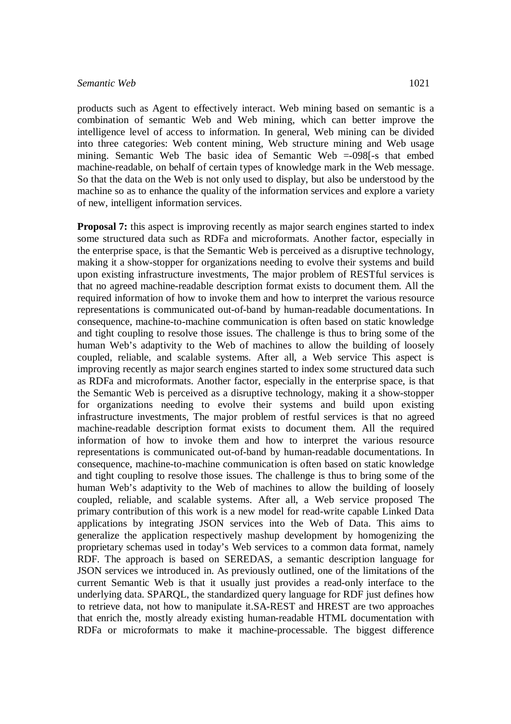#### *Semantic Web* 1021

products such as Agent to effectively interact. Web mining based on semantic is a combination of semantic Web and Web mining, which can better improve the intelligence level of access to information. In general, Web mining can be divided into three categories: Web content mining, Web structure mining and Web usage mining. Semantic Web The basic idea of Semantic Web =-098[-s that embed machine-readable, on behalf of certain types of knowledge mark in the Web message. So that the data on the Web is not only used to display, but also be understood by the machine so as to enhance the quality of the information services and explore a variety of new, intelligent information services.

**Proposal 7:** this aspect is improving recently as major search engines started to index some structured data such as RDFa and microformats. Another factor, especially in the enterprise space, is that the Semantic Web is perceived as a disruptive technology, making it a show-stopper for organizations needing to evolve their systems and build upon existing infrastructure investments, The major problem of RESTful services is that no agreed machine-readable description format exists to document them. All the required information of how to invoke them and how to interpret the various resource representations is communicated out-of-band by human-readable documentations. In consequence, machine-to-machine communication is often based on static knowledge and tight coupling to resolve those issues. The challenge is thus to bring some of the human Web's adaptivity to the Web of machines to allow the building of loosely coupled, reliable, and scalable systems. After all, a Web service This aspect is improving recently as major search engines started to index some structured data such as RDFa and microformats. Another factor, especially in the enterprise space, is that the Semantic Web is perceived as a disruptive technology, making it a show-stopper for organizations needing to evolve their systems and build upon existing infrastructure investments, The major problem of restful services is that no agreed machine-readable description format exists to document them. All the required information of how to invoke them and how to interpret the various resource representations is communicated out-of-band by human-readable documentations. In consequence, machine-to-machine communication is often based on static knowledge and tight coupling to resolve those issues. The challenge is thus to bring some of the human Web's adaptivity to the Web of machines to allow the building of loosely coupled, reliable, and scalable systems. After all, a Web service proposed The primary contribution of this work is a new model for read-write capable Linked Data applications by integrating JSON services into the Web of Data. This aims to generalize the application respectively mashup development by homogenizing the proprietary schemas used in today's Web services to a common data format, namely RDF. The approach is based on SEREDAS, a semantic description language for JSON services we introduced in. As previously outlined, one of the limitations of the current Semantic Web is that it usually just provides a read-only interface to the underlying data. SPARQL, the standardized query language for RDF just defines how to retrieve data, not how to manipulate it.SA-REST and HREST are two approaches that enrich the, mostly already existing human-readable HTML documentation with RDFa or microformats to make it machine-processable. The biggest difference